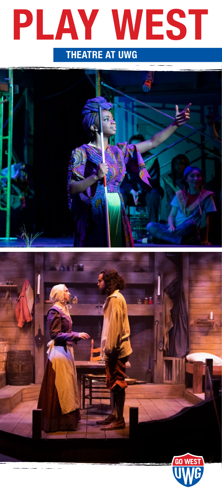

## THEATRE AT UWG